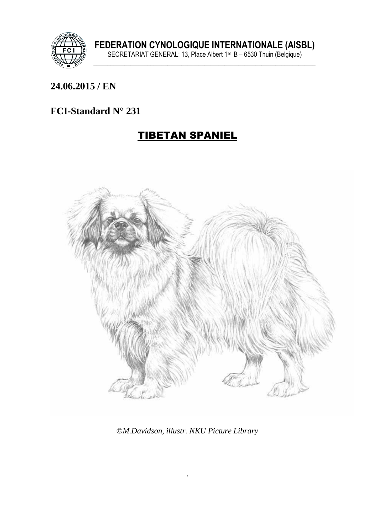

#### **\_\_\_\_\_\_\_\_\_\_\_\_\_\_\_\_\_\_\_\_\_\_\_\_\_\_\_\_\_\_\_\_\_\_\_\_\_\_\_\_\_\_\_\_\_\_\_\_\_\_\_\_\_\_\_\_\_\_\_\_\_\_\_ 24.06.2015 / EN**

### **FCI-Standard N° 231**

## TIBETAN SPANIEL



©*M.Davidson, illustr. NKU Picture Library*

.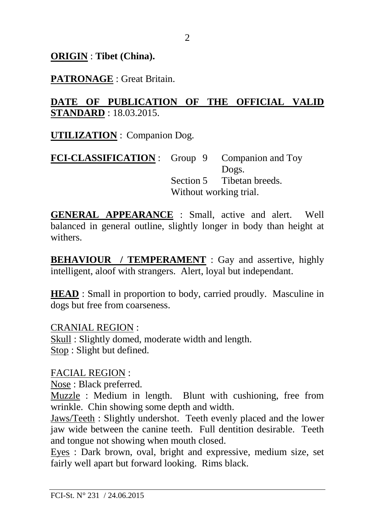**ORIGIN** : **Tibet (China).**

#### **PATRONAGE** : Great Britain.

#### **DATE OF PUBLICATION OF THE OFFICIAL VALID STANDARD** : 18.03.2015.

**UTILIZATION** : Companion Dog.

**FCI-CLASSIFICATION** : Group 9 Companion and Toy Dogs. Section 5 Tibetan breeds. Without working trial.

**GENERAL APPEARANCE** : Small, active and alert. Well balanced in general outline, slightly longer in body than height at withers.

**BEHAVIOUR / TEMPERAMENT** : Gay and assertive, highly intelligent, aloof with strangers. Alert, loyal but independant.

**HEAD** : Small in proportion to body, carried proudly. Masculine in dogs but free from coarseness.

CRANIAL REGION : Skull : Slightly domed, moderate width and length. Stop : Slight but defined.

FACIAL REGION :

Nose : Black preferred.

Muzzle : Medium in length. Blunt with cushioning, free from wrinkle. Chin showing some depth and width.

Jaws/Teeth : Slightly undershot. Teeth evenly placed and the lower jaw wide between the canine teeth. Full dentition desirable. Teeth and tongue not showing when mouth closed.

Eyes : Dark brown, oval, bright and expressive, medium size, set fairly well apart but forward looking. Rims black.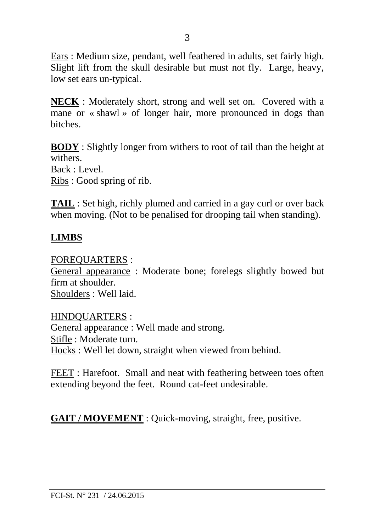Ears : Medium size, pendant, well feathered in adults, set fairly high. Slight lift from the skull desirable but must not fly. Large, heavy, low set ears un-typical.

**NECK** : Moderately short, strong and well set on. Covered with a mane or « shawl » of longer hair, more pronounced in dogs than bitches.

**BODY** : Slightly longer from withers to root of tail than the height at withers.

Back : Level.

Ribs : Good spring of rib.

**TAIL** : Set high, richly plumed and carried in a gay curl or over back when moving. (Not to be penalised for drooping tail when standing).

#### **LIMBS**

FOREQUARTERS :

General appearance : Moderate bone; forelegs slightly bowed but firm at shoulder. Shoulders : Well laid.

HINDQUARTERS :

General appearance : Well made and strong. Stifle : Moderate turn. Hocks : Well let down, straight when viewed from behind.

FEET : Harefoot. Small and neat with feathering between toes often extending beyond the feet. Round cat-feet undesirable.

**GAIT / MOVEMENT** : Quick-moving, straight, free, positive.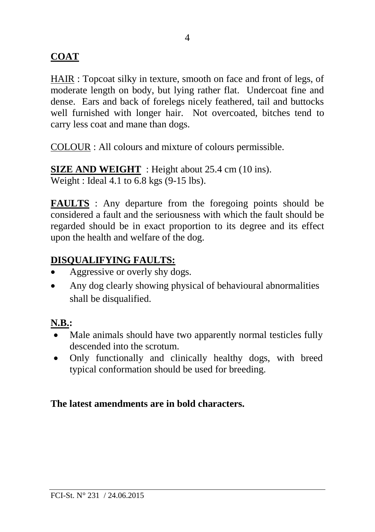### **COAT**

HAIR : Topcoat silky in texture, smooth on face and front of legs, of moderate length on body, but lying rather flat. Undercoat fine and dense. Ears and back of forelegs nicely feathered, tail and buttocks well furnished with longer hair. Not overcoated, bitches tend to carry less coat and mane than dogs.

COLOUR : All colours and mixture of colours permissible.

**SIZE AND WEIGHT** : Height about 25.4 cm (10 ins). Weight : Ideal 4.1 to 6.8 kgs (9-15 lbs).

**FAULTS** : Any departure from the foregoing points should be considered a fault and the seriousness with which the fault should be regarded should be in exact proportion to its degree and its effect upon the health and welfare of the dog.

#### **DISQUALIFYING FAULTS:**

- Aggressive or overly shy dogs.
- Any dog clearly showing physical of behavioural abnormalities shall be disqualified.

#### **N.B.:**

- Male animals should have two apparently normal testicles fully descended into the scrotum.
- Only functionally and clinically healthy dogs, with breed typical conformation should be used for breeding.

#### **The latest amendments are in bold characters.**